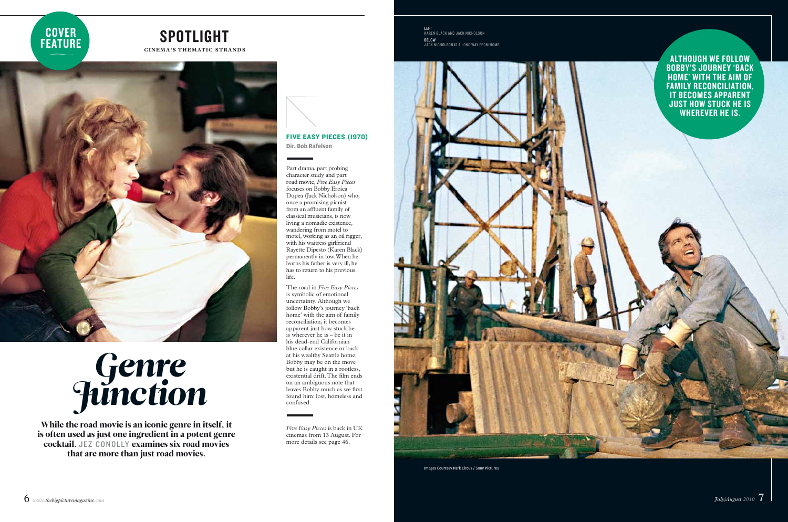Images Courtesy Park Circus / Sony Pictures

## **CINEMA'S THEMATIC STRANDS** spotlight

# Genre **Junction**

While the road movie is an iconic genre in itself, it is often used as just one ingredient in a potent genre cocktail. JEZ CONOLLY examines six road movies that are more than just road movies.

Although we follow Bobby's journey 'back home' with the aim of FAMILY RECONCILIATION, it becomes app arent just how stuck he is wherever he is.



left karen black and jack nicholson below jack nicholson is a long way from home



Part drama, part probing character study and part road movie, *Five Easy Pieces* focuses on Bobby Eroica Dupea (Jack Nicholson) who, once a promising pianist from an affluent family of classical musicians, is now living a nomadic existence, wandering from motel to motel, working as an oil rigger, with his waitress girlfriend Rayette Dipesto (Karen Black) permanently in tow. When he learns his father is very ill, he has to return to his previous life.

The road in *Five Easy Pieces* is symbolic of emotional uncertainty. Although we follow Bobby's journey 'back home' with the aim of family reconciliation, it becomes apparent just how stuck he is wherever he is – be it in his dead-end Californian blue collar existence or back at his wealthy Seattle home. Bobby may be on the move but he is caught in a rootless, existential drift. The film ends on an ambiguous note that leaves Bobby much as we first found him: lost, homeless and confused.

*Five Easy Pieces* is back in UK cinemas from 13 August. For more details see page 46.

## Five Easy Pieces (1970) **Dir. Bob Rafelson**

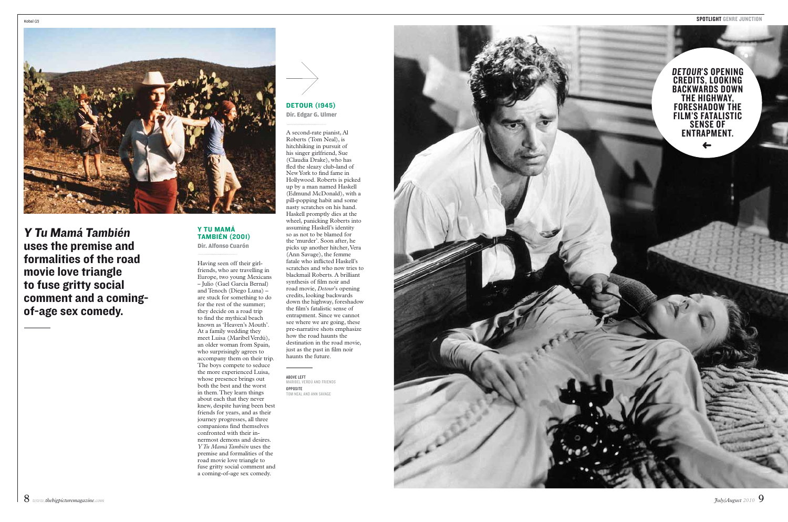

A second-rate pianist, Al Roberts (Tom Neal), is hitchhiking in pursuit of his singer girlfriend, Sue (Claudia Drake), who has fled the sleazy club-land of New York to find fame in Hollywood. Roberts is picked up by a man named Haskell (Edmund McDonald), with a pill-popping habit and some nasty scratches on his hand.

**DETOUR (1945) Dir. Edgar G. Ulmer**

**ABOVE LEFT**<br>MARIBEL VERDÚ AND FRIENDS opposite tom neal and ann savage



### Haskell promptly dies at the wheel, panicking Roberts into assuming Haskell's identity so as not to be blamed for the 'murder'. Soon after, he picks up another hitcher, Vera (Ann Savage), the femme fatale who inflicted Haskell's scratches and who now tries to blackmail Roberts. A brilliant synthesis of film noir and road movie, *Detour*'s opening credits, looking backwards down the highway, foreshadow the film's fatalistic sense of entrapment. Since we cannot see where we are going, these pre-narrative shots emphasize how the road haunts the destination in the road movie, just as the past in film noir haunts the future.

Having seen off their girl friends, who are travelling in Europe, two young Mexicans – Julio (Gael García Bernal) and Tenoch (Diego Luna) – are stuck for something to do for the rest of the summer; they decide on a road trip to find the mythical beach known as 'Heaven's Mouth'. At a family wedding they meet Luisa (Maribel Verdú), an older woman from Spain, who surprisingly agrees to accompany them on their trip. The boys compete to seduce the more experienced Luisa, whose presence brings out both the best and the worst in them. They learn things about each that they never knew, despite having been best friends for years, and as their journey progresses, all three companions find themselves confronted with their in nermost demons and desires. *Y Tu Mamá También* uses the premise and formalities of the road movie love triangle to fuse gritty social comment and<br>a coming-of-age sex comedy. **Y TU MAMÁ**<br> **TAMBIÉN (2001)**<br>
Dir. Alfonso Cuarón<br>
Immerican Cuarón<br>
Immerical Currence Cuarón<br>
Flaving seen off their girl-<br>
friends, who are travelling in<br>
Europe, two young Mexicans<br>  $-$  Julio (Gael García Bernal)<br>
an



Y Tu Mamá También uses the premise and formalities of the road movie love triangle to fuse gritty social comment and a comingof-age sex comedy.

## **Dir. Alfonso Cuarón**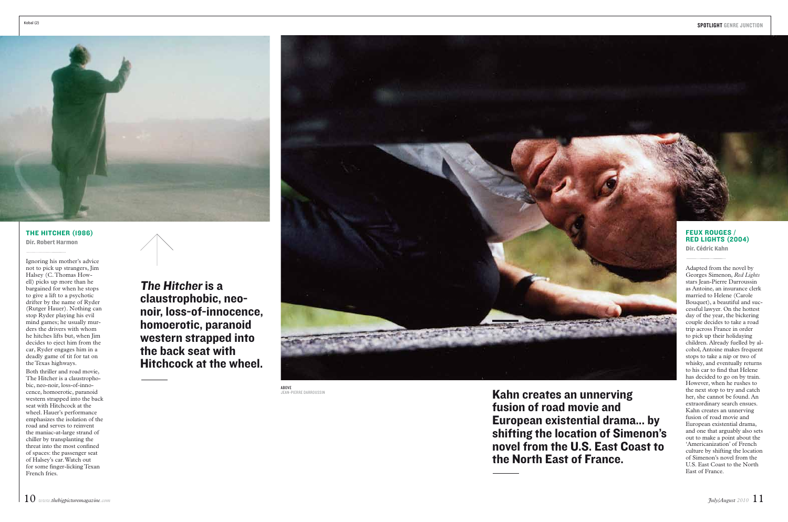Kahn creates an unnerving fusion of road movie and European existential drama... by shifting the location of Simenon's novel from the U.S. East Coast to the North East of France.

The Hitcher is a claustrophobic, neonoir, loss-of-innocence, homoerotic, paranoid western strapped into the back seat with Hitchcock at the wheel.



**ABOVE**<br>JEAN-PIERRE DARROUSSIN



Ignoring his mother's advice not to pick up strangers, Jim Halsey (C. Thomas Howell) picks up more than he bargained for when he stops to give a lift to a psychotic drifter by the name of Ryder (Rutger Hauer). Nothing can stop Ryder playing his evil mind games; he usually murders the drivers with whom he hitches lifts but, when Jim decides to eject him from the car, Ryder engages him in a deadly game of tit for tat on the Texas highways.

Both thriller and road movie, The Hitcher is a claustrophobic, neo-noir, loss-of-innocence, homoerotic, paranoid western strapped into the back seat with Hitchcock at the wheel. Hauer's performance emphasizes the isolation of the road and serves to reinvent the maniac-at-large strand of chiller by transplanting the threat into the most confined of spaces: the passenger seat of Halsey's car. Watch out for some finger-licking Texan French fries.

## **FEUX ROUGES** Red Lights (2004)

## The Hitcher (1986)

**Dir. Robert Harmon**

Adapted from the novel by Georges Simenon, *Red Lights* stars Jean-Pierre Darroussin as Antoine, an insurance clerk married to Helene (Carole Bouquet), a beautiful and successful lawyer. On the hottest day of the year, the bickering couple decides to take a road trip across France in order to pick up their holidaying children. Already fuelled by alcohol, Antoine makes frequent stops to take a nip or two of whisky, and eventually returns to his car to find that Helene has decided to go on by train. However, when he rushes to the next stop to try and catch her, she cannot be found. An extraordinary search ensues. Kahn creates an unnerving fusion of road movie and European existential drama, and one that arguably also sets out to make a point about the 'Americanization' of French culture by shifting the location of Simenon's novel from the U.S. East Coast to the North East of France.

**Dir. Cédric Kahn**